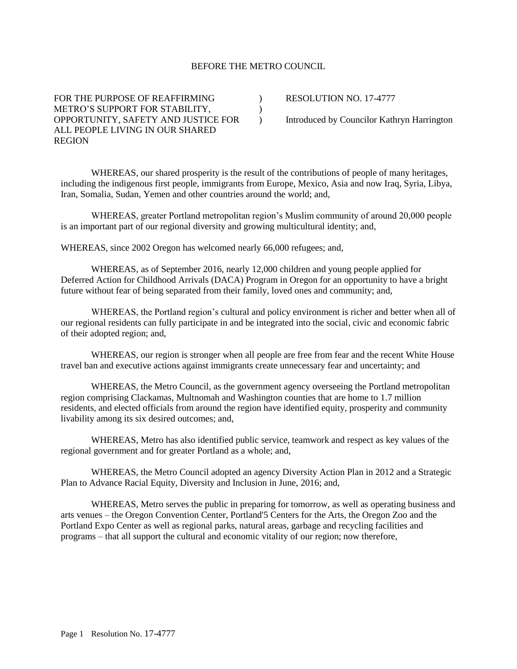## BEFORE THE METRO COUNCIL

 $\lambda$ )  $\lambda$ 

FOR THE PURPOSE OF REAFFIRMING METRO'S SUPPORT FOR STABILITY, OPPORTUNITY, SAFETY AND JUSTICE FOR ALL PEOPLE LIVING IN OUR SHARED REGION

RESOLUTION NO. 17-4777

Introduced by Councilor Kathryn Harrington

WHEREAS, our shared prosperity is the result of the contributions of people of many heritages, including the indigenous first people, immigrants from Europe, Mexico, Asia and now Iraq, Syria, Libya, Iran, Somalia, Sudan, Yemen and other countries around the world; and,

WHEREAS, greater Portland metropolitan region's Muslim community of around 20,000 people is an important part of our regional diversity and growing multicultural identity; and,

WHEREAS, since 2002 Oregon has welcomed nearly 66,000 refugees; and,

WHEREAS, as of September 2016, nearly 12,000 children and young people applied for Deferred Action for Childhood Arrivals (DACA) Program in Oregon for an opportunity to have a bright future without fear of being separated from their family, loved ones and community; and,

WHEREAS, the Portland region's cultural and policy environment is richer and better when all of our regional residents can fully participate in and be integrated into the social, civic and economic fabric of their adopted region; and,

WHEREAS, our region is stronger when all people are free from fear and the recent White House travel ban and executive actions against immigrants create unnecessary fear and uncertainty; and

WHEREAS, the Metro Council, as the government agency overseeing the Portland metropolitan region comprising Clackamas, Multnomah and Washington counties that are home to 1.7 million residents, and elected officials from around the region have identified equity, prosperity and community livability among its six desired outcomes; and,

WHEREAS, Metro has also identified public service, teamwork and respect as key values of the regional government and for greater Portland as a whole; and,

WHEREAS, the Metro Council adopted an agency Diversity Action Plan in 2012 and a Strategic Plan to Advance Racial Equity, Diversity and Inclusion in June, 2016; and,

WHEREAS, Metro serves the public in preparing for tomorrow, as well as operating business and arts venues – the Oregon Convention Center, Portland'5 Centers for the Arts, the Oregon Zoo and the Portland Expo Center as well as regional parks, natural areas, garbage and recycling facilities and programs – that all support the cultural and economic vitality of our region; now therefore,